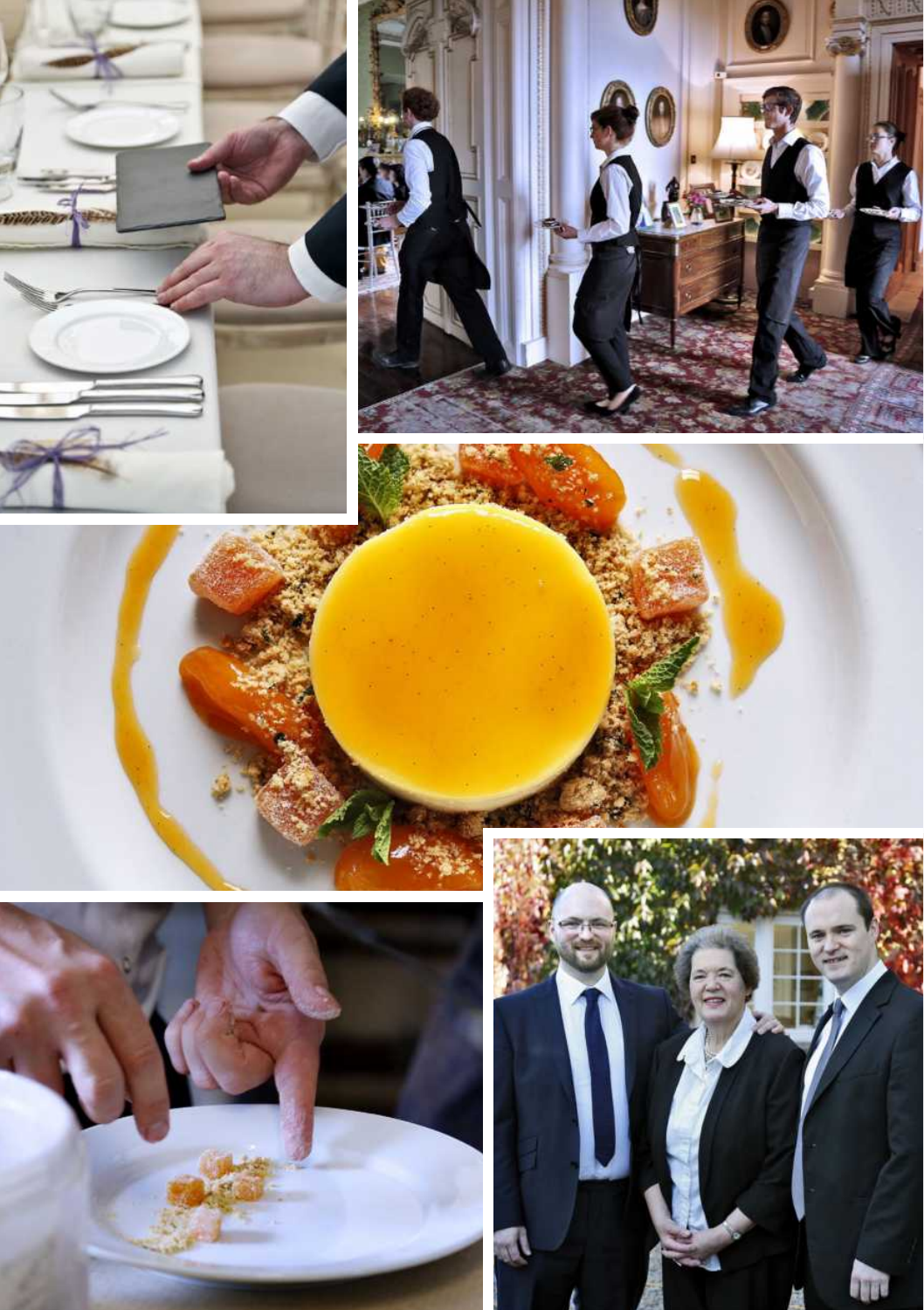







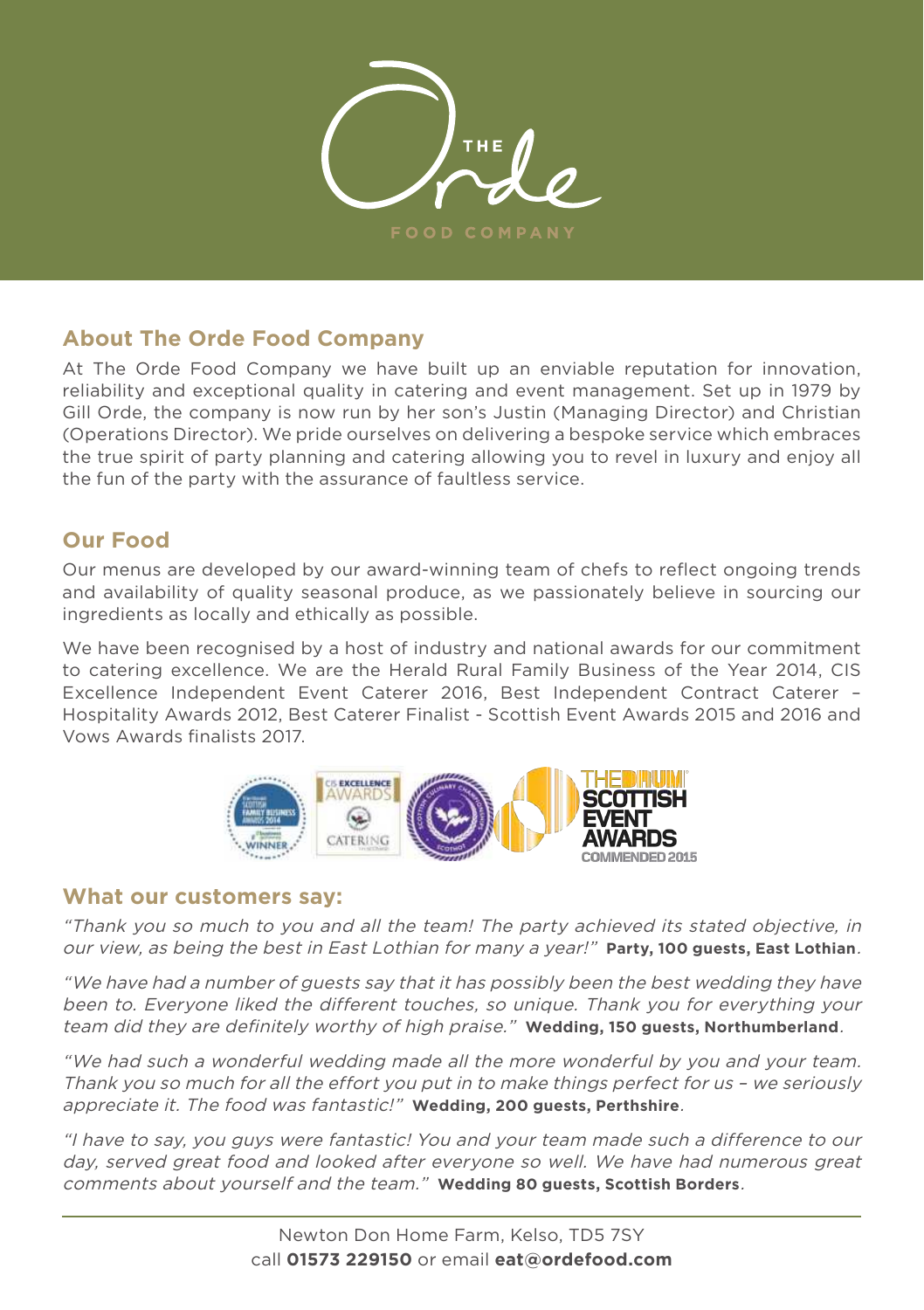

# **About The Orde Food Company**

At The Orde Food Company we have built up an enviable reputation for innovation, reliability and exceptional quality in catering and event management. Set up in 1979 by Gill Orde, the company is now run by her son's Justin (Managing Director) and Christian (Operations Director). We pride ourselves on delivering a bespoke service which embraces the true spirit of party planning and catering allowing you to revel in luxury and enjoy all the fun of the party with the assurance of faultless service.

# **Our Food**

Our menus are developed by our award-winning team of chefs to reflect ongoing trends and availability of quality seasonal produce, as we passionately believe in sourcing our ingredients as locally and ethically as possible.

We have been recognised by a host of industry and national awards for our commitment to catering excellence. We are the Herald Rural Family Business of the Year 2014, CIS Excellence Independent Event Caterer 2016, Best Independent Contract Caterer – Hospitality Awards 2012, Best Caterer Finalist - Scottish Event Awards 2015 and 2016 and Vows Awards finalists 2017.



## **What our customers say:**

*honey (V)*

"Thank you so much to you and all the team! The party achieved its stated objective, in our view, as being the best in East Lothian for many a year!" **Party, 100 guests, East Lothian**. *A* all the team! The party

we have had a number of guests say that it has possibly been the best wedding they have." been to. Everyone liked the different touches, so unique. Thank you for everything your • *Pea tartlet with feta cheese & mint (V) basil and basil vinaigrette (VG/GF)* team did they are definitely worthy of high praise." Wedding, 150 guests, Northumberland. for guests say that it has possibly been the best wedd.

"We had such a wonderful wedding made all the more wonderful by you and your team. • *Smoked salmon parfait, pickled*  • *Buratta, lemon zest, lemon oil, thyme*  Thank you so much for all the effort you put in to make things perfect for us - we seriously appreciate it. The food was fantastic!" **Wedding, 200 guests, Perthshire**. • *Chicken liver parfait, house chutney, smoked bacon, crostini* • *Sweet onion sausage roll, black onion seeds*

"I have to say, you guys were fantastic! You and your team made such a difference to our  $\,$ day, served great food and looked after everyone so well. We have had numerous great • *Parmesan sablé, fennel cream, roasted*  • *Charred Cauliflower, spiced yoghurt,*  comments about yourself and the team." Wedding 80 guests, Scottish Borders.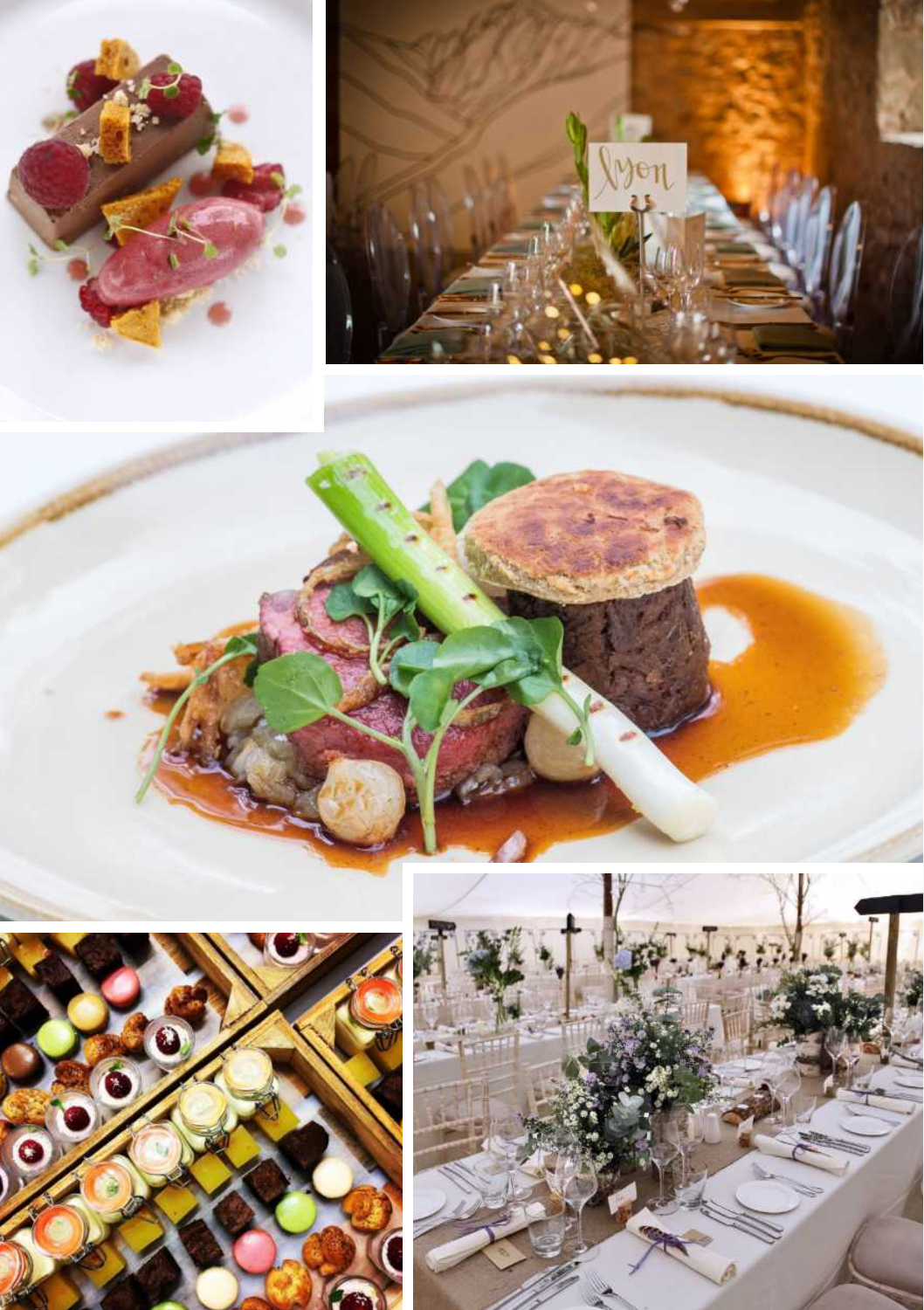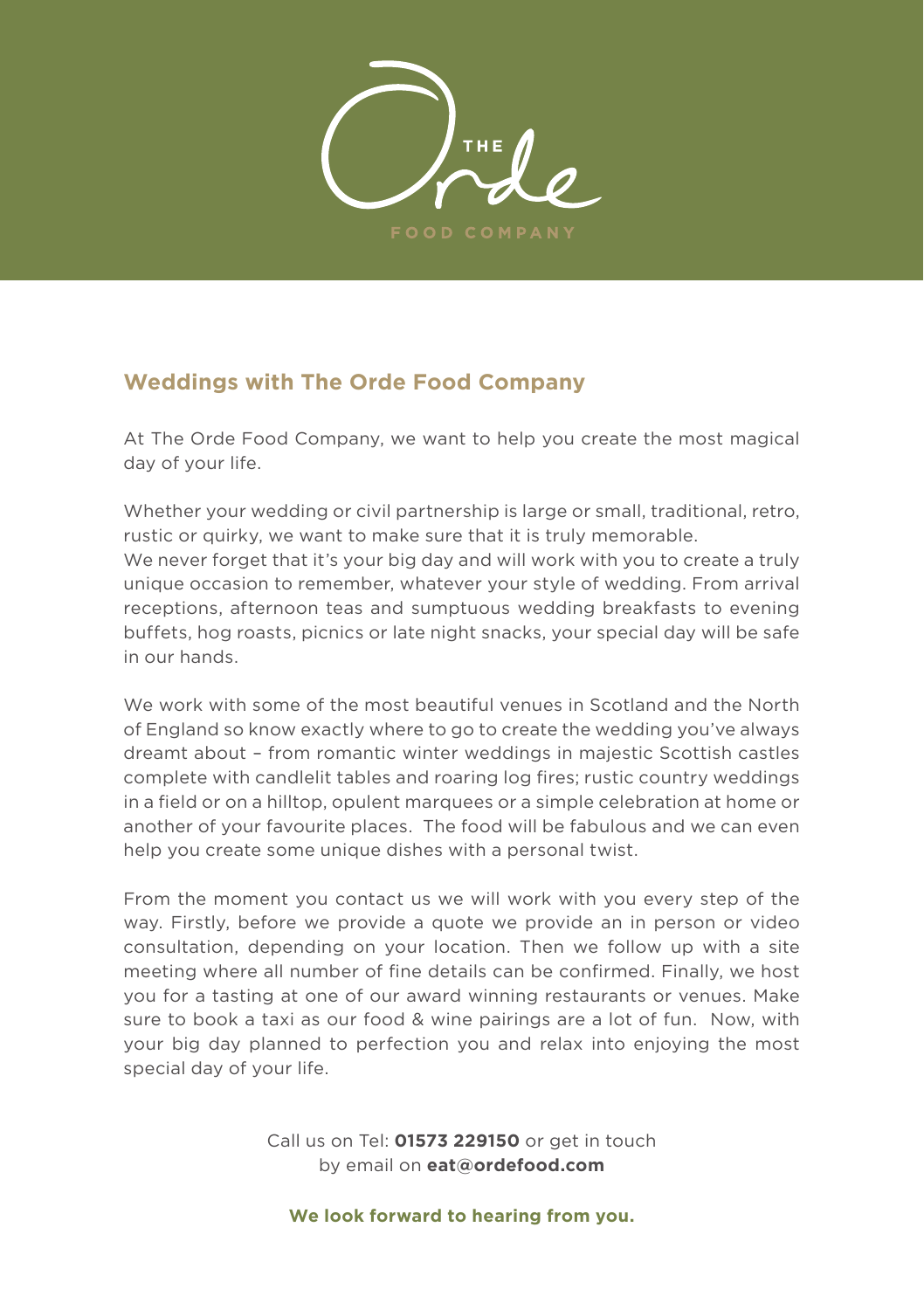

# **Weddings with The Orde Food Company**

At The Orde Food Company, we want to help you create the most magical day of your life.

Whether your wedding or civil partnership is large or small, traditional, retro, rustic or quirky, we want to make sure that it is truly memorable.

We never forget that it's your big day and will work with you to create a truly unique occasion to remember, whatever your style of wedding. From arrival receptions, afternoon teas and sumptuous wedding breakfasts to evening buffets, hog roasts, picnics or late night snacks, your special day will be safe in our hands.

We work with some of the most beautiful venues in Scotland and the North of England so know exactly where to go to create the wedding you've always dreamt about – from romantic winter weddings in majestic Scottish castles complete with candlelit tables and roaring log fires; rustic country weddings in a field or on a hilltop, opulent marquees or a simple celebration at home or another of your favourite places. The food will be fabulous and we can even help you create some unique dishes with a personal twist.

From the moment you contact us we will work with you every step of the way. Firstly, before we provide a quote we provide an in person or video consultation, depending on your location. Then we follow up with a site meeting where all number of fine details can be confirmed. Finally, we host you for a tasting at one of our award winning restaurants or venues. Make sure to book a taxi as our food & wine pairings are a lot of fun. Now, with your big day planned to perfection you and relax into enjoying the most special day of your life.

> Call us on Tel: **01573 229150** or get in touch by email on **eat@ordefood.com**

**We look forward to hearing from you.**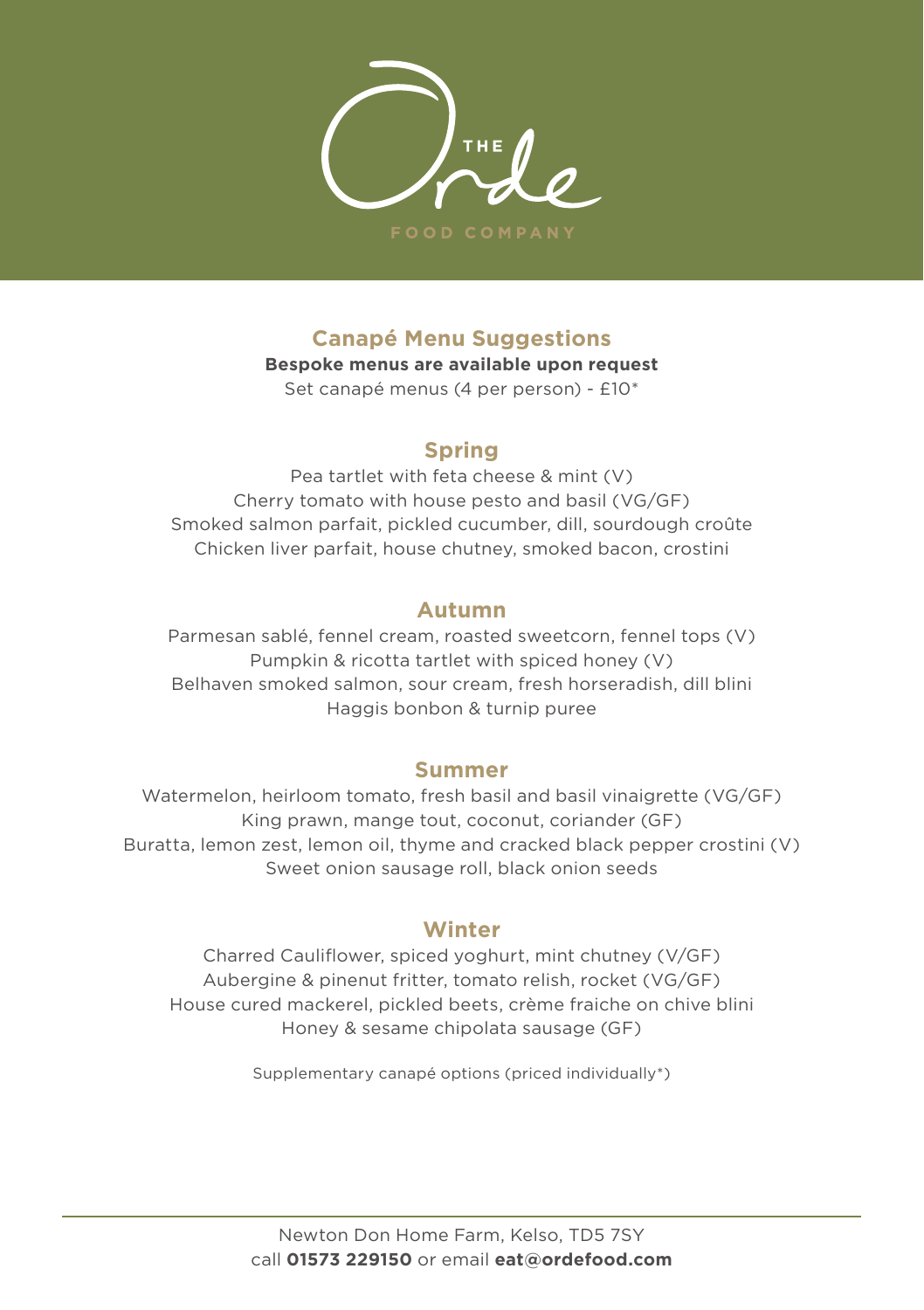

# **Canapé Menu Suggestions**

**Bespoke menus are available upon request**

Set canapé menus (4 per person) - £10\*

# **Spring**

Pea tartlet with feta cheese & mint (V) Cherry tomato with house pesto and basil (VG/GF) Smoked salmon parfait, pickled cucumber, dill, sourdough croûte Chicken liver parfait, house chutney, smoked bacon, crostini

## **Autumn**

Parmesan sablé, fennel cream, roasted sweetcorn, fennel tops (V) Pumpkin & ricotta tartlet with spiced honey (V) Belhaven smoked salmon, sour cream, fresh horseradish, dill blini Haggis bonbon & turnip puree

## **Summer**

Watermelon, heirloom tomato, fresh basil and basil vinaigrette (VG/GF) King prawn, mange tout, coconut, coriander (GF) Buratta, lemon zest, lemon oil, thyme and cracked black pepper crostini (V) Sweet onion sausage roll, black onion seeds

## **Winter**

Charred Cauliflower, spiced yoghurt, mint chutney (V/GF) Aubergine & pinenut fritter, tomato relish, rocket (VG/GF) House cured mackerel, pickled beets, crème fraiche on chive blini Honey & sesame chipolata sausage (GF)

Supplementary canapé options (priced individually\*)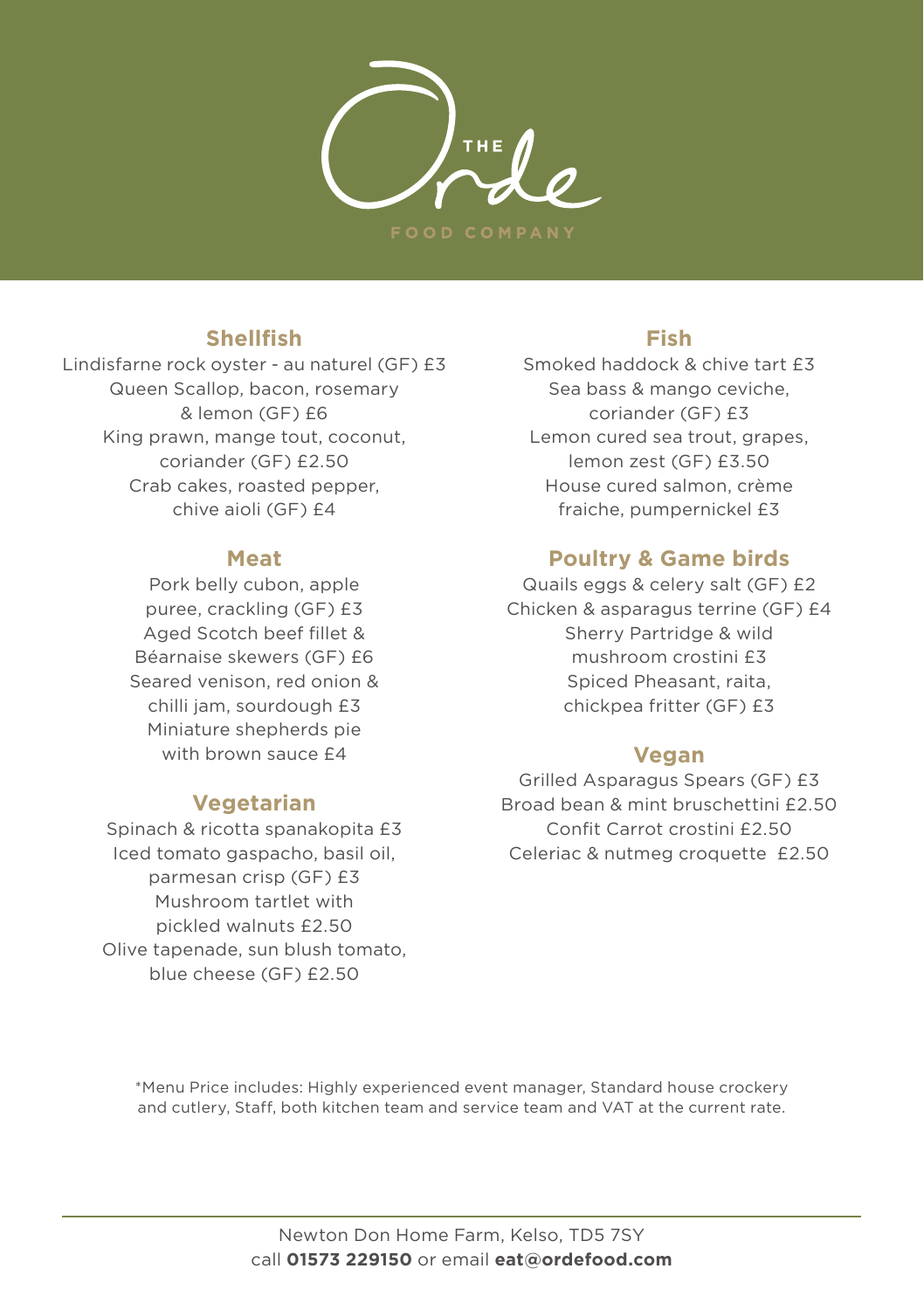

# **Shellfish**

Lindisfarne rock oyster - au naturel (GF) £3 Queen Scallop, bacon, rosemary & lemon (GF) £6 King prawn, mange tout, coconut, coriander (GF) £2.50 Crab cakes, roasted pepper, chive aioli (GF) £4

## **Meat**

Pork belly cubon, apple puree, crackling (GF) £3 Aged Scotch beef fillet & Béarnaise skewers (GF) £6 Seared venison, red onion & chilli jam, sourdough £3 Miniature shepherds pie with brown sauce £4

## **Vegetarian**

Spinach & ricotta spanakopita £3 Iced tomato gaspacho, basil oil, parmesan crisp (GF) £3 Mushroom tartlet with pickled walnuts £2.50 Olive tapenade, sun blush tomato, blue cheese (GF) £2.50

## **Fish**

Smoked haddock & chive tart £3 Sea bass & mango ceviche, coriander (GF) £3 Lemon cured sea trout, grapes, lemon zest (GF) £3.50 House cured salmon, crème fraiche, pumpernickel £3

# **Poultry & Game birds**

Quails eggs & celery salt (GF) £2 Chicken & asparagus terrine (GF) £4 Sherry Partridge & wild mushroom crostini £3 Spiced Pheasant, raita, chickpea fritter (GF) £3

## **Vegan**

Grilled Asparagus Spears (GF) £3 Broad bean & mint bruschettini £2.50 Confit Carrot crostini £2.50 Celeriac & nutmeg croquette £2.50

\*Menu Price includes: Highly experienced event manager, Standard house crockery and cutlery, Staff, both kitchen team and service team and VAT at the current rate.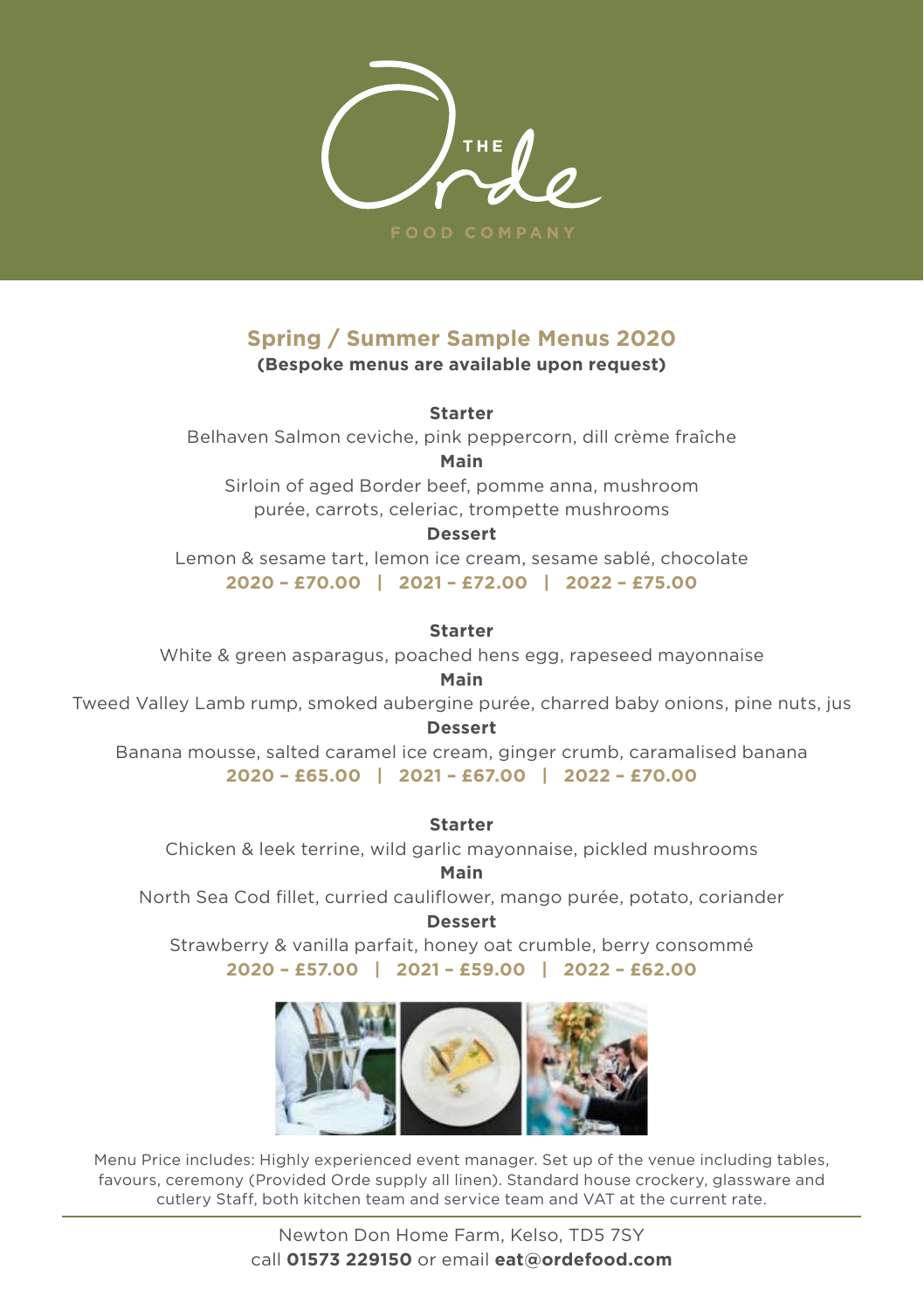

# **Spring / Summer Sample Menus 2020**

**(Bespoke menus are available upon request)**

**Starter**

Belhaven Salmon ceviche, pink peppercorn, dill crème fraîche **Main**

Sirloin of aged Border beef, pomme anna, mushroom purée, carrots, celeriac, trompette mushrooms

### **Dessert**

Lemon & sesame tart, lemon ice cream, sesame sablé, chocolate **2020 – £70.00 | 2021 – £72.00 | 2022 – £75.00**

**Starter**

White & green asparagus, poached hens egg, rapeseed mayonnaise

**Main**

Tweed Valley Lamb rump, smoked aubergine purée, charred baby onions, pine nuts, jus **Dessert**

Banana mousse, salted caramel ice cream, ginger crumb, caramalised banana **2020 – £65.00 | 2021 – £67.00 | 2022 – £70.00**

**Starter**

Chicken & leek terrine, wild garlic mayonnaise, pickled mushrooms

**Main**

North Sea Cod fillet, curried cauliflower, mango purée, potato, coriander **Dessert**

Strawberry & vanilla parfait, honey oat crumble, berry consommé *North Sea Cod fillet, curried cauliflower, mango purée, potato, coriander* Dessert **2020 – £57.00 | 2021 – £59.00 | 2022 – £62.00** *Strawberry & vanilla parfait, honey oat crumble, berry consommé*



Menu Price includes: Highly experienced event manager. Set up of the venue including tables, Menu Price includes: Highly experienced event manager favours, ceremony (Provided Orde supply all linen). Standard house crockery, glassware and cutlery Staff, both kitchen team and service team and VAT at the current rate. Staff, both kitchen team and service team and VAT at the current rate

> Newton Don Home Farm, Kelso, TD5 7SY call 01573 229150 or email eat@ordefood.com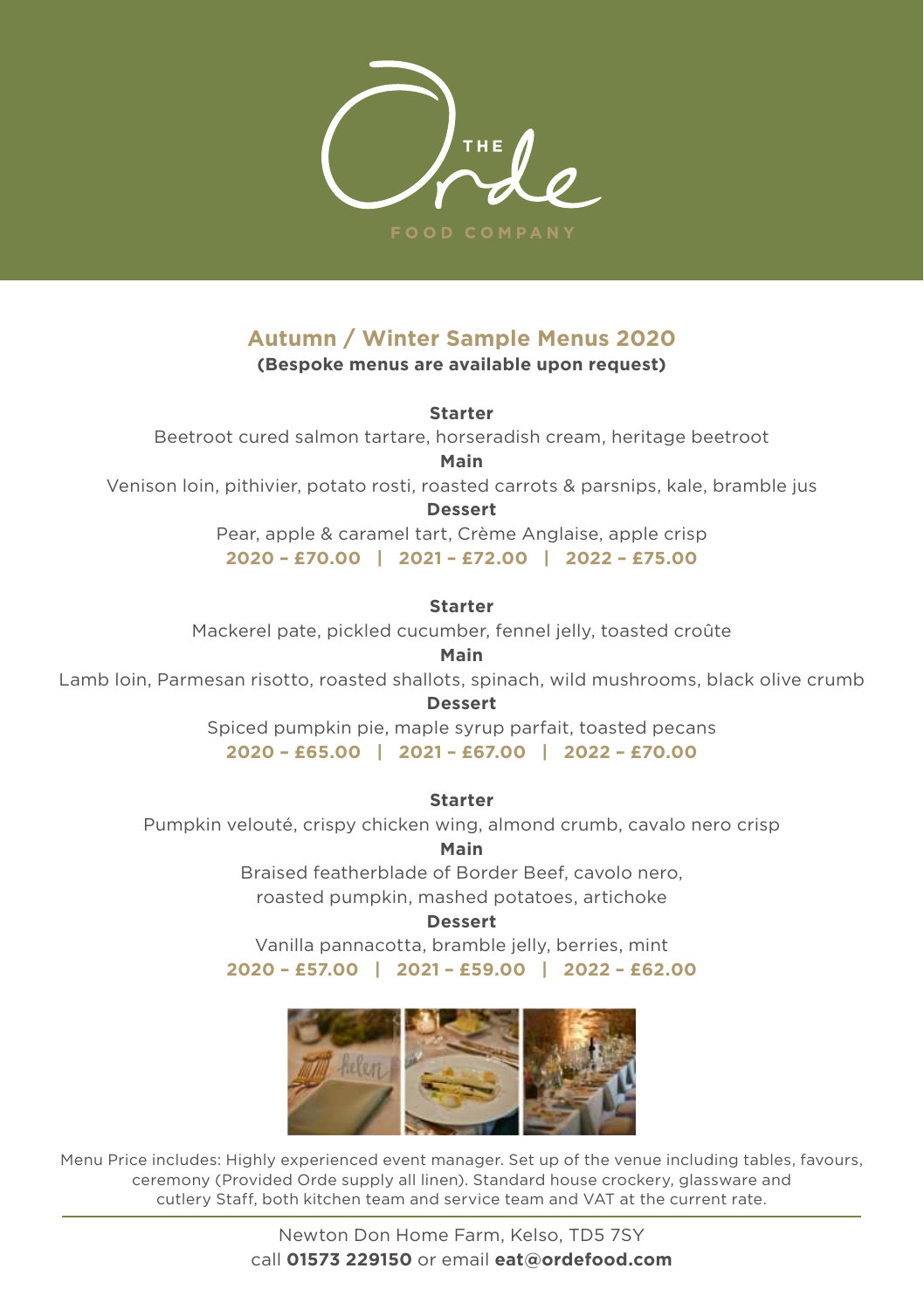

# **Autumn / Winter Sample Menus 2020**

**(Bespoke menus are available upon request)**

**Starter**

Beetroot cured salmon tartare, horseradish cream, heritage beetroot

**Main**

Venison loin, pithivier, potato rosti, roasted carrots & parsnips, kale, bramble jus

**Dessert**

Pear, apple & caramel tart, Crème Anglaise, apple crisp **2020 – £70.00 | 2021 – £72.00 | 2022 – £75.00**

**Starter**

Mackerel pate, pickled cucumber, fennel jelly, toasted croûte

**Main**

Lamb loin, Parmesan risotto, roasted shallots, spinach, wild mushrooms, black olive crumb

**Dessert**

Spiced pumpkin pie, maple syrup parfait, toasted pecans **2020 – £65.00 | 2021 – £67.00 | 2022 – £70.00**

**Starter**

Pumpkin velouté, crispy chicken wing, almond crumb, cavalo nero crisp

**Main**

Braised featherblade of Border Beef, cavolo nero, roasted pumpkin, mashed potatoes, artichoke

**Dessert** 

Vanilla pannacotta, bramble jelly, berries, mint Main *Braised featherblade of Border Beef, cavolo nero, roasted pumpkin, mashed potatoes, artichoke* **2020 – £57.00 | 2021 – £59.00 | 2022 – £62.00** Dessert *Vanilla pannacotta, bramble jelly, berries, mint*



Menu Price includes: Highly experienced event manager. Set up of the venue including tables, favours, ce morader majing experienced event managemedia by entire morading cables,<br>ceremony (Provided Orde supply all linen). Standard house crockery, glassware and cutlery Staff, both kitchen team and service team and VAT at the current rate.

> Newton Don Home Farm, Kelso, TD5 7SY call **01573 229150** or email **eat@ordefood.com Sharing Menus (Bespoke menus are available upon request)**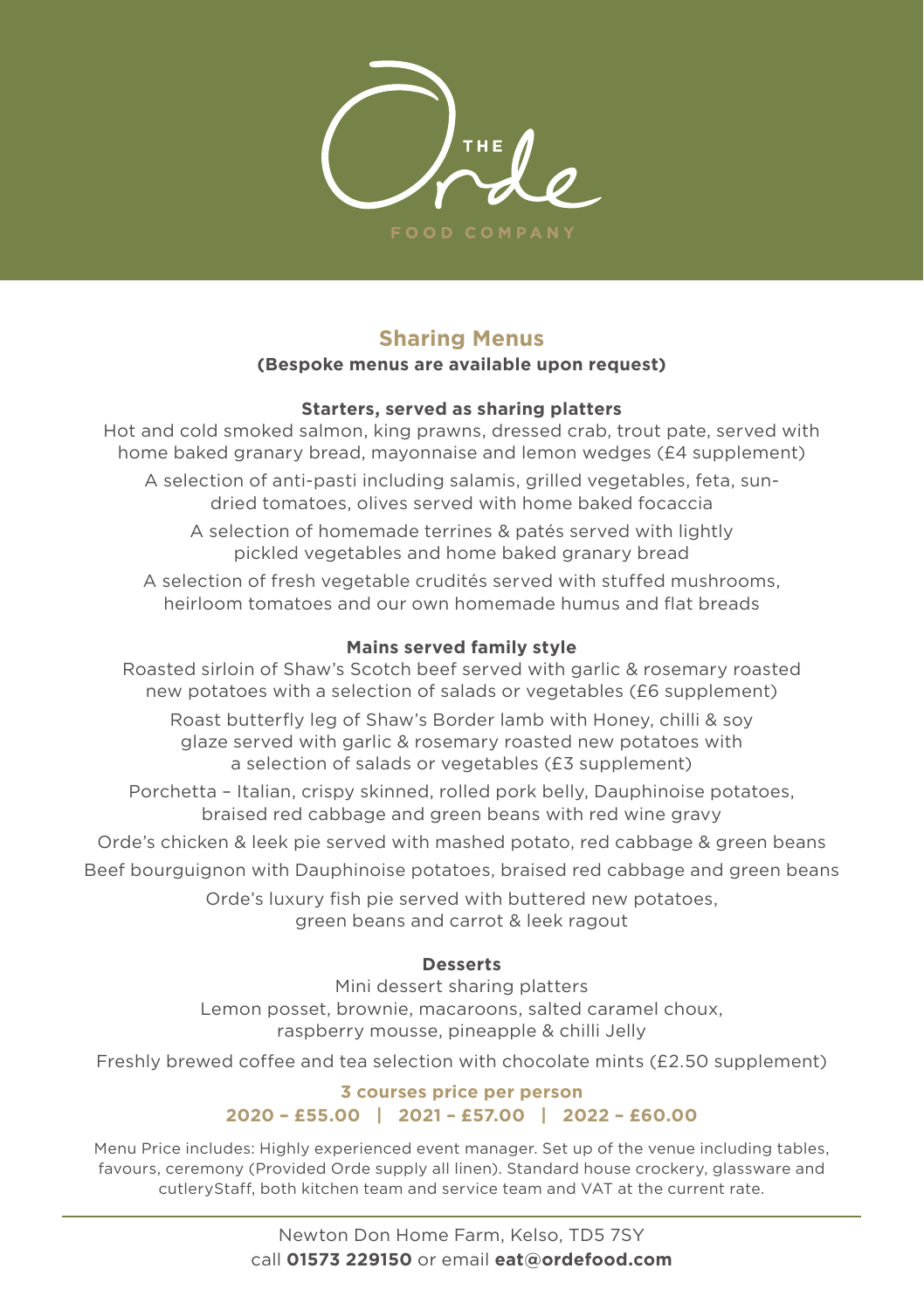

# **Sharing Menus**

### **(Bespoke menus are available upon request)**

## **Starters, served as sharing platters**

Hot and cold smoked salmon, king prawns, dressed crab, trout pate, served with home baked granary bread, mayonnaise and lemon wedges (£4 supplement)

- A selection of anti-pasti including salamis, grilled vegetables, feta, sundried tomatoes, olives served with home baked focaccia
	- A selection of homemade terrines & patés served with lightly pickled vegetables and home baked granary bread

A selection of fresh vegetable crudités served with stuffed mushrooms, heirloom tomatoes and our own homemade humus and flat breads

## **Mains served family style**

Roasted sirloin of Shaw's Scotch beef served with garlic & rosemary roasted new potatoes with a selection of salads or vegetables (£6 supplement)

Roast butterfly leg of Shaw's Border lamb with Honey, chilli & soy glaze served with garlic & rosemary roasted new potatoes with a selection of salads or vegetables (£3 supplement)

Porchetta – Italian, crispy skinned, rolled pork belly, Dauphinoise potatoes, braised red cabbage and green beans with red wine gravy

Orde's chicken & leek pie served with mashed potato, red cabbage & green beans

Beef bourguignon with Dauphinoise potatoes, braised red cabbage and green beans

Orde's luxury fish pie served with buttered new potatoes, green beans and carrot & leek ragout

### **Desserts**

Mini dessert sharing platters Lemon posset, brownie, macaroons, salted caramel choux, raspberry mousse, pineapple & chilli Jelly

Freshly brewed coffee and tea selection with chocolate mints (£2.50 supplement)

## **3 courses price per person 2020 – £55.00 | 2021 – £57.00 | 2022 – £60.00**

Menu Price includes: Highly experienced event manager. Set up of the venue including tables, favours, ceremony (Provided Orde supply all linen). Standard house crockery, glassware and cutleryStaff, both kitchen team and service team and VAT at the current rate.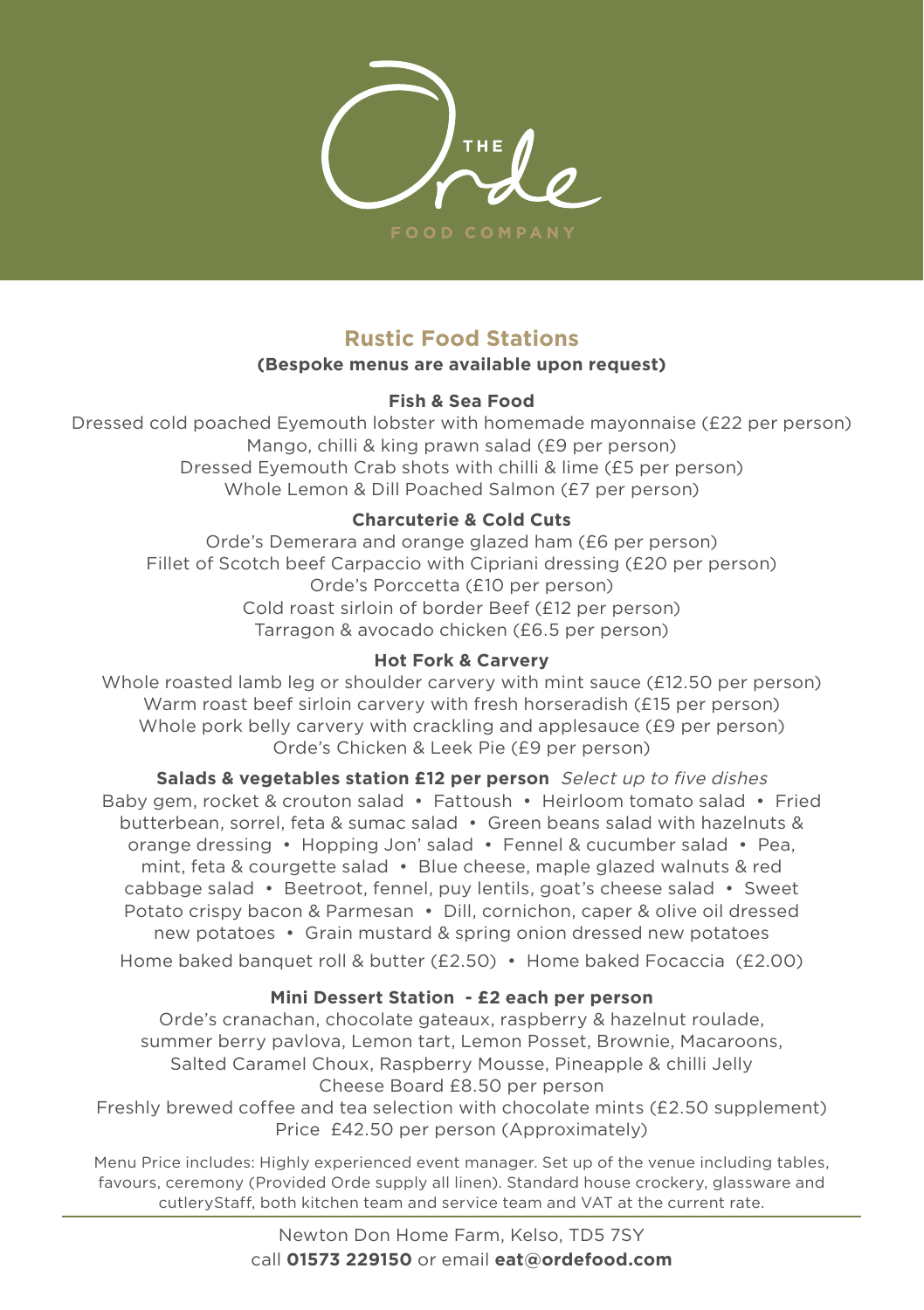

# **Rustic Food Stations**

### **(Bespoke menus are available upon request)**

## **Fish & Sea Food**

Dressed cold poached Eyemouth lobster with homemade mayonnaise (£22 per person) Mango, chilli & king prawn salad (£9 per person) Dressed Eyemouth Crab shots with chilli & lime (£5 per person) Whole Lemon & Dill Poached Salmon (£7 per person)

## **Charcuterie & Cold Cuts**

Orde's Demerara and orange glazed ham (£6 per person) Fillet of Scotch beef Carpaccio with Cipriani dressing (£20 per person) Orde's Porccetta (£10 per person) Cold roast sirloin of border Beef (£12 per person) Tarragon & avocado chicken (£6.5 per person)

## **Hot Fork & Carvery**

Whole roasted lamb leg or shoulder carvery with mint sauce (£12.50 per person) Warm roast beef sirloin carvery with fresh horseradish (£15 per person) Whole pork belly carvery with crackling and applesauce (£9 per person) Orde's Chicken & Leek Pie (£9 per person)

**Salads & vegetables station £12 per person** Select up to five dishes Baby gem, rocket & crouton salad • Fattoush • Heirloom tomato salad • Fried butterbean, sorrel, feta & sumac salad • Green beans salad with hazelnuts & orange dressing • Hopping Jon' salad • Fennel & cucumber salad • Pea, mint, feta & courgette salad • Blue cheese, maple glazed walnuts & red cabbage salad • Beetroot, fennel, puy lentils, goat's cheese salad • Sweet Potato crispy bacon & Parmesan • Dill, cornichon, caper & olive oil dressed new potatoes • Grain mustard & spring onion dressed new potatoes Home baked banquet roll & butter (£2.50) • Home baked Focaccia (£2.00)

## **Mini Dessert Station - £2 each per person**

Orde's cranachan, chocolate gateaux, raspberry & hazelnut roulade, summer berry pavlova, Lemon tart, Lemon Posset, Brownie, Macaroons, Salted Caramel Choux, Raspberry Mousse, Pineapple & chilli Jelly Cheese Board £8.50 per person Freshly brewed coffee and tea selection with chocolate mints (£2.50 supplement) Price £42.50 per person (Approximately)

Menu Price includes: Highly experienced event manager. Set up of the venue including tables, favours, ceremony (Provided Orde supply all linen). Standard house crockery, glassware and cutleryStaff, both kitchen team and service team and VAT at the current rate.

> Newton Don Home Farm, Kelso, TD5 7SY call **01573 229150** or email **eat@ordefood.com**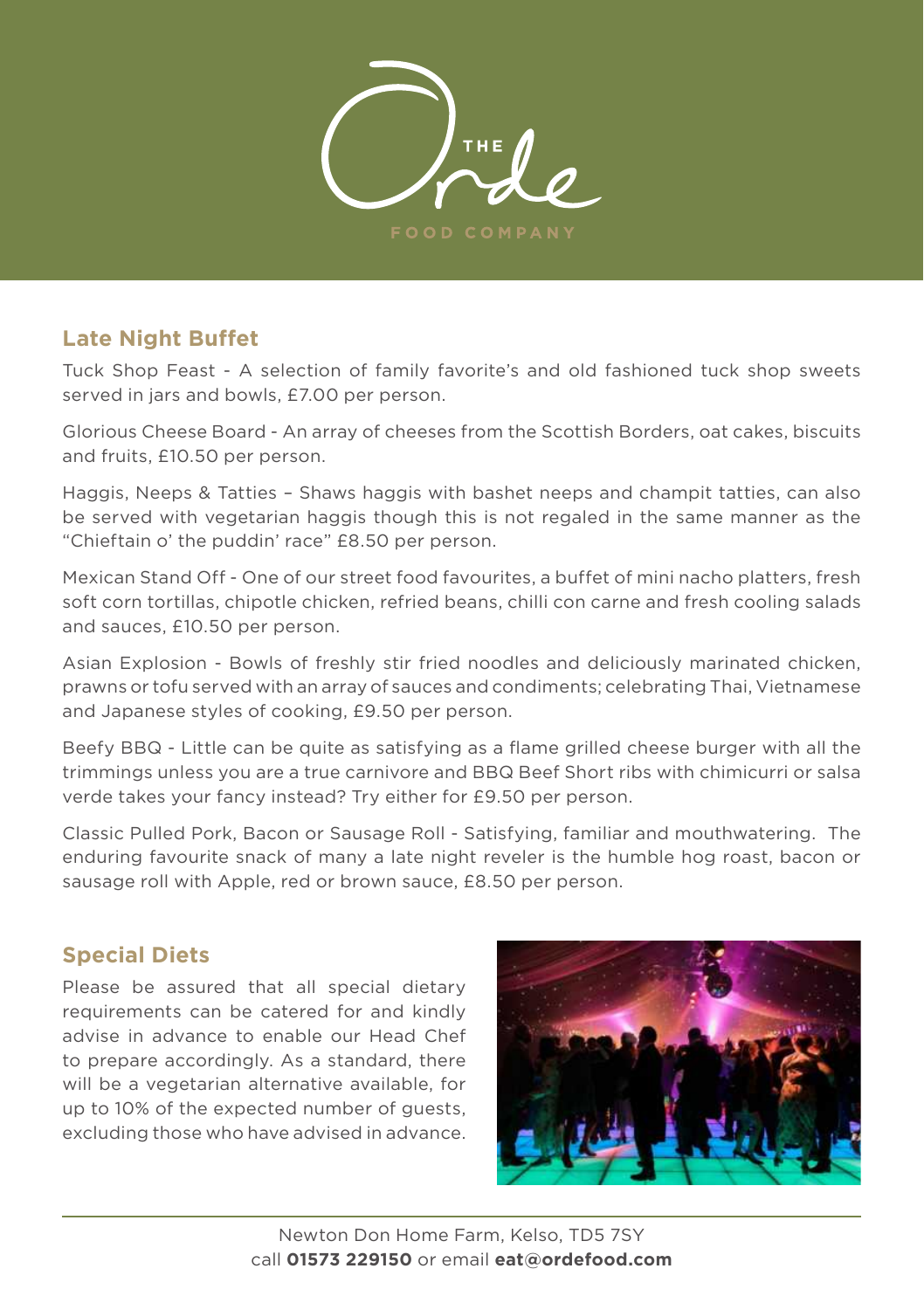

# **Late Night Buffet**

Tuck Shop Feast - A selection of family favorite's and old fashioned tuck shop sweets served in jars and bowls, £7.00 per person.

Glorious Cheese Board - An array of cheeses from the Scottish Borders, oat cakes, biscuits Glorious Cheese Board - An array of cheeses from the Scottish Borders, oat cakes, biscuits and fruits, and fruits, £10.50 per person.

Haggis, Neeps & Tatties - Shaws haggis with bashet neeps and champit tatties, can also be served with vegetarian haggis though this is not regaled in the same manner as the "Chieftain o' the puddin' race" £8.50 per person.

Mexican Stand Off - One of our street food favourites, a buffet of mini nacho platters, fresh soft corn tortillas, chipotle chicken, refried beans, chilli con carne and fresh cooling salads and sauces, £10.50 per person.

Asian Explosion - Bowls of freshly stir fried noodles and deliciously marinated chicken, prawns or tofu served with an array of sauces and condiments; celebrating Thai, Vietnamese and Japanese styles of cooking, £9.50 per person.

Beefy BBQ - Little can be quite as satisfying as a flame grilled cheese burger with all the trimmings unless you are a true carnivore and BBQ Beef Short ribs with chimicurri or salsa verde takes your fancy instead? Try either for £9.50 per person.

Classic Pulled Pork, Bacon or Sausage Roll - Satisfying, familiar and mouthwatering. The **Special Diets** enduring favourite snack of many a late night reveler is the humble hog roast, bacon or sausage roll with Apple, red or brown sauce, £8.50 per person. available, for up to 10% of the expected number of guests, excluding those who have advised in advance.

# **Special Diets**

Please be assured that all special dietary requirements can be catered for and kindly advise in advance to enable our Head Chef to prepare accordingly. As a standard, there will be a vegetarian alternative available, for up to 10% of the expected number of guests, excluding those who have advised in advance.

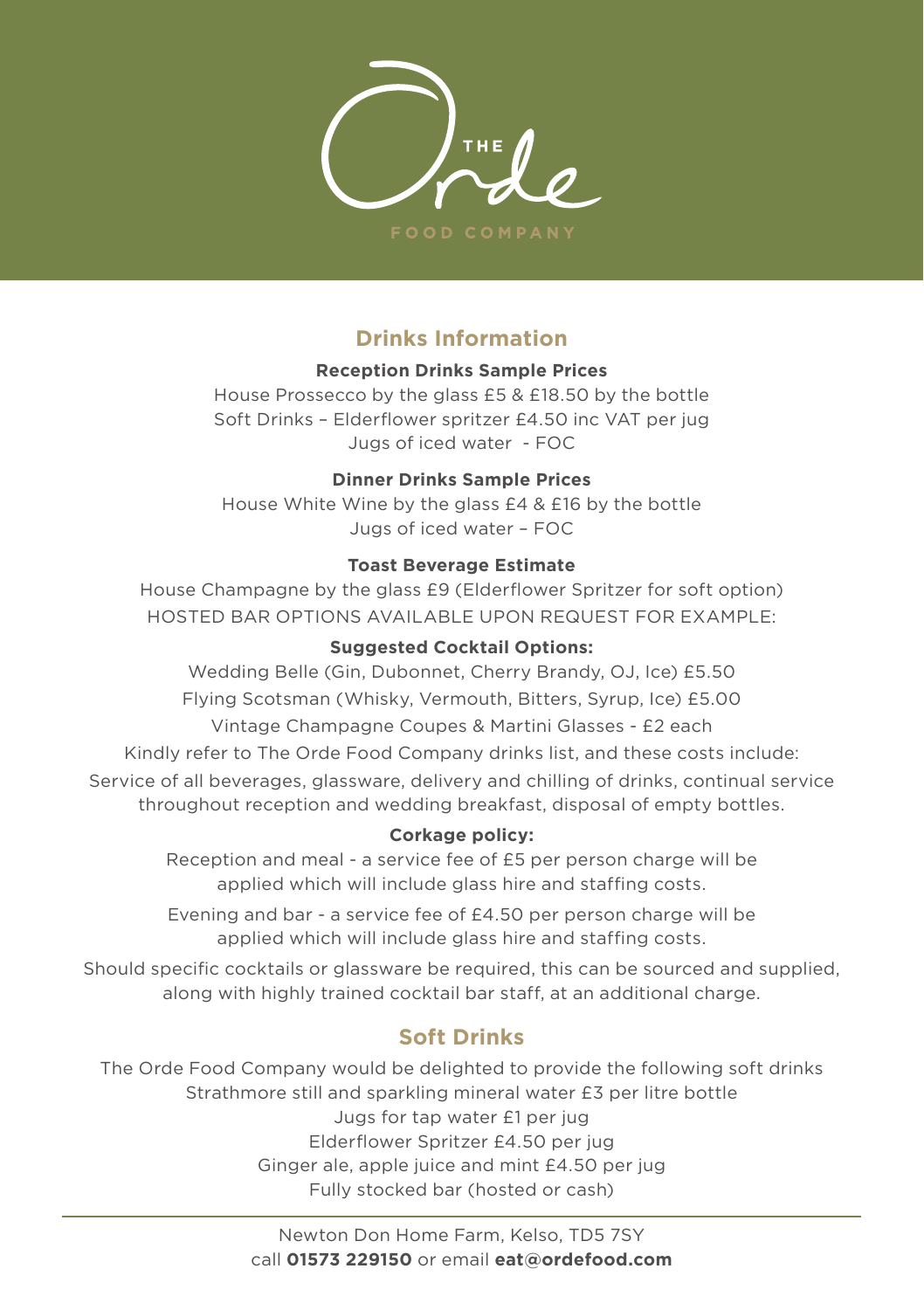

# **Drinks Information**

### **Reception Drinks Sample Prices**

House Prossecco by the glass £5 & £18.50 by the bottle Soft Drinks – Elderflower spritzer £4.50 inc VAT per jug Jugs of iced water - FOC

## **Dinner Drinks Sample Prices**

House White Wine by the glass £4 & £16 by the bottle Jugs of iced water – FOC

## **Toast Beverage Estimate**

House Champagne by the glass £9 (Elderflower Spritzer for soft option) HOSTED BAR OPTIONS AVAILABLE UPON REQUEST FOR EXAMPLE:

## **Suggested Cocktail Options:**

Wedding Belle (Gin, Dubonnet, Cherry Brandy, OJ, Ice) £5.50 Flying Scotsman (Whisky, Vermouth, Bitters, Syrup, Ice) £5.00 Vintage Champagne Coupes & Martini Glasses - £2 each Kindly refer to The Orde Food Company drinks list, and these costs include: Service of all beverages, glassware, delivery and chilling of drinks, continual service throughout reception and wedding breakfast, disposal of empty bottles.

## **Corkage policy:**

Reception and meal - a service fee of £5 per person charge will be applied which will include glass hire and staffing costs.

Evening and bar - a service fee of £4.50 per person charge will be applied which will include glass hire and staffing costs.

Should specific cocktails or glassware be required, this can be sourced and supplied, along with highly trained cocktail bar staff, at an additional charge.

# **Soft Drinks**

The Orde Food Company would be delighted to provide the following soft drinks Strathmore still and sparkling mineral water £3 per litre bottle Jugs for tap water £1 per jug Elderflower Spritzer £4.50 per jug Ginger ale, apple juice and mint £4.50 per jug Fully stocked bar (hosted or cash)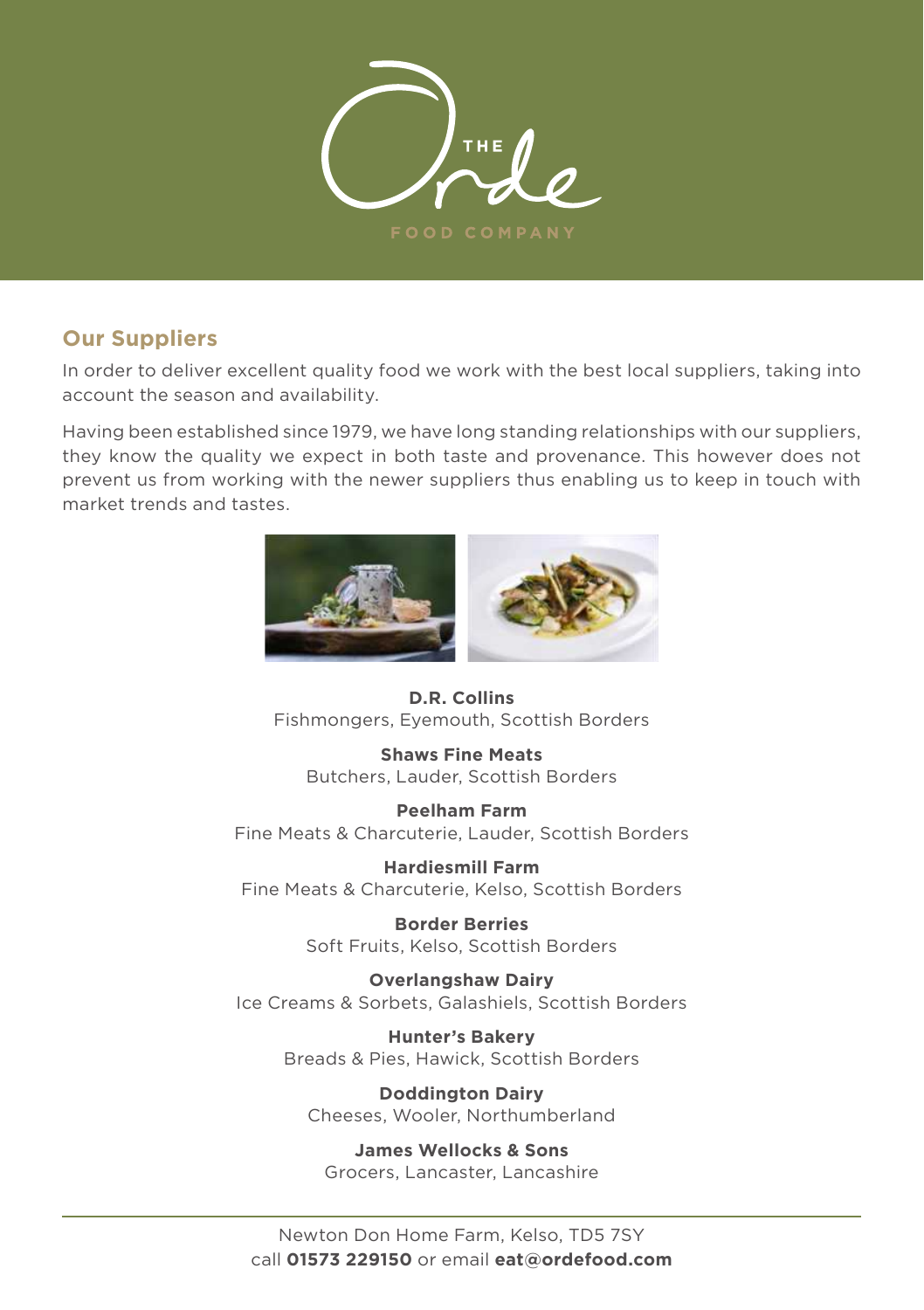

#### **Our Suppliers** and availability. In order to deliver excellent quality food we work with the best local suppliers, taking into account the season and availability.

**Our Suppliers**

In order to deliver excellent quality food we work with the best local suppliers, taking into account the season and availability. supplies the quality we expect in  $\mathbb{R}^n$  we expect in both taste and provenance. This however,  $\mathbb{R}^n$ 

Having been established since 1979, we have long standing relationships with our suppliers, they know the quality we expect in both taste and provenance. This however does not prevent us from working with the newer suppliers thus enabling us to keep in touch with market trends and tastes.



**D.R. Collins** Fishmongers, Eyemouth, Scottish Borders

**Shaws Fine Meats** Butchers, Lauder, Scottish Borders

**Peelham Farm – Finance Meats & Characteries & Characteries & Characteries & Characteries & Characteries & Characteries & Characteries & Characteries & Characteries & Characteries & Characteries & Characteries & Characteri • Feemam Farm<br>Fine Meats & Charcuterie, Lauder, Scottish Borders** Fire Picats & Charcuteric, Lauder, • Hardiesmill Farm - Fine Meats & Charcuterie, Kelso, Scottish Borders • Border Berries – Soft Fruits, Kelso, Scottish Borders

**Hardiesmill Farm** Fine Meats & Charcuterie, Kelso, Scottish Borders • Overlangshaw Dairy – Ice Creams & Sorbets, Galashiels, Scottish Borders Fire Pieats & Charcuterie, Keiso, Scottis

e **Border Berries** Soft Fruits, Kelso, Scottish Borders

**Overlangshaw Dairy** Ice Creams & Sorbets, Galashiels, Scottish Borders

> **Hunter's Bakery**  Breads & Pies, Hawick, Scottish Borders

**Doddington Dairy**  Cheeses, Wooler, Northumberland

**James Wellocks & Sons**  Grocers, Lancaster, Lancashire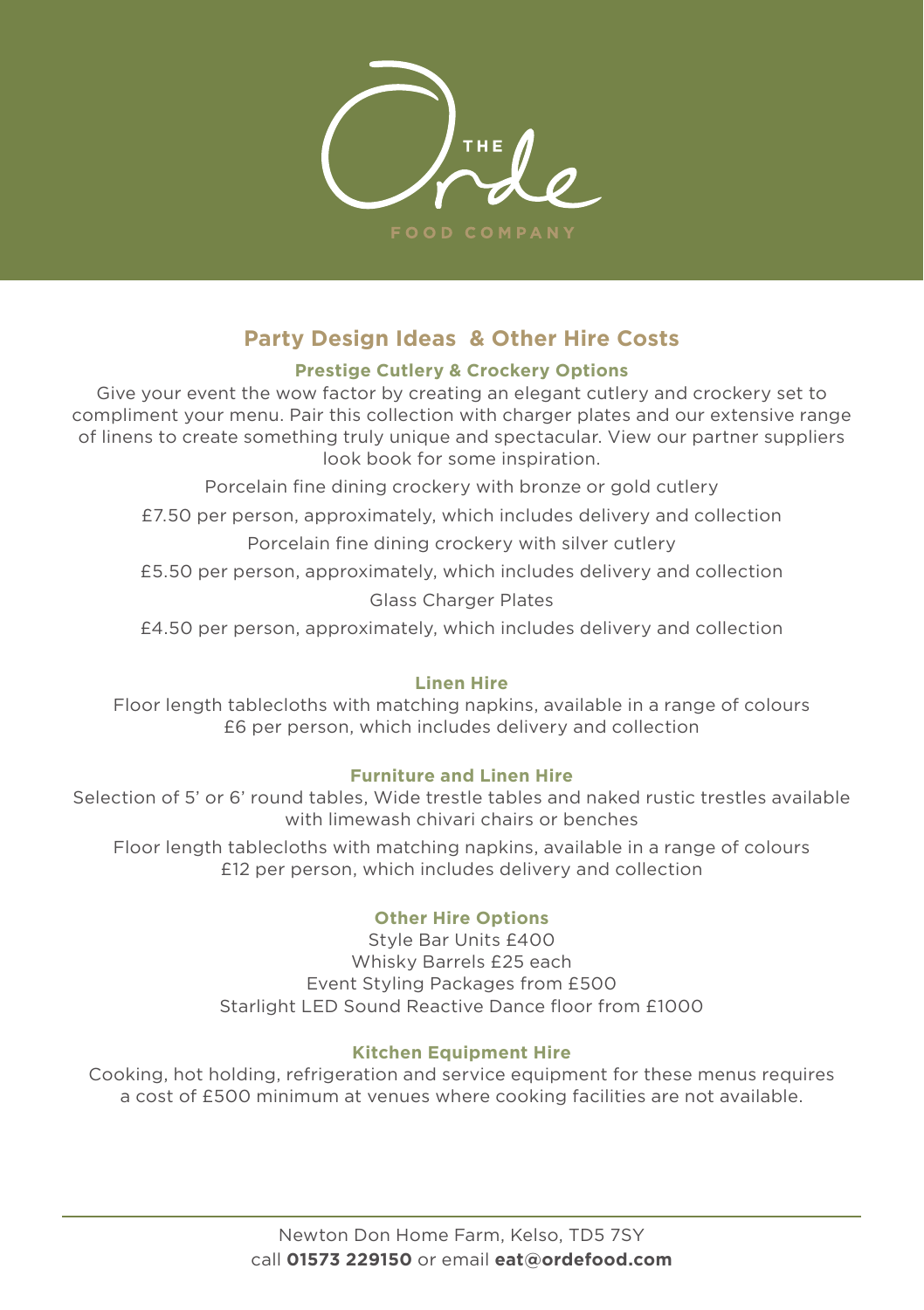

# **Party Design Ideas & Other Hire Costs**

## **Prestige Cutlery & Crockery Options**

Give your event the wow factor by creating an elegant cutlery and crockery set to compliment your menu. Pair this collection with charger plates and our extensive range of linens to create something truly unique and spectacular. View our partner suppliers look book for some inspiration.

Porcelain fine dining crockery with bronze or gold cutlery

£7.50 per person, approximately, which includes delivery and collection

Porcelain fine dining crockery with silver cutlery

£5.50 per person, approximately, which includes delivery and collection

Glass Charger Plates

£4.50 per person, approximately, which includes delivery and collection

## **Linen Hire**

Floor length tablecloths with matching napkins, available in a range of colours £6 per person, which includes delivery and collection

## **Furniture and Linen Hire**

Selection of 5' or 6' round tables, Wide trestle tables and naked rustic trestles available with limewash chivari chairs or benches

Floor length tablecloths with matching napkins, available in a range of colours £12 per person, which includes delivery and collection

## **Other Hire Options**

Style Bar Units £400 Whisky Barrels £25 each Event Styling Packages from £500 Starlight LED Sound Reactive Dance floor from £1000

## **Kitchen Equipment Hire**

Cooking, hot holding, refrigeration and service equipment for these menus requires a cost of £500 minimum at venues where cooking facilities are not available.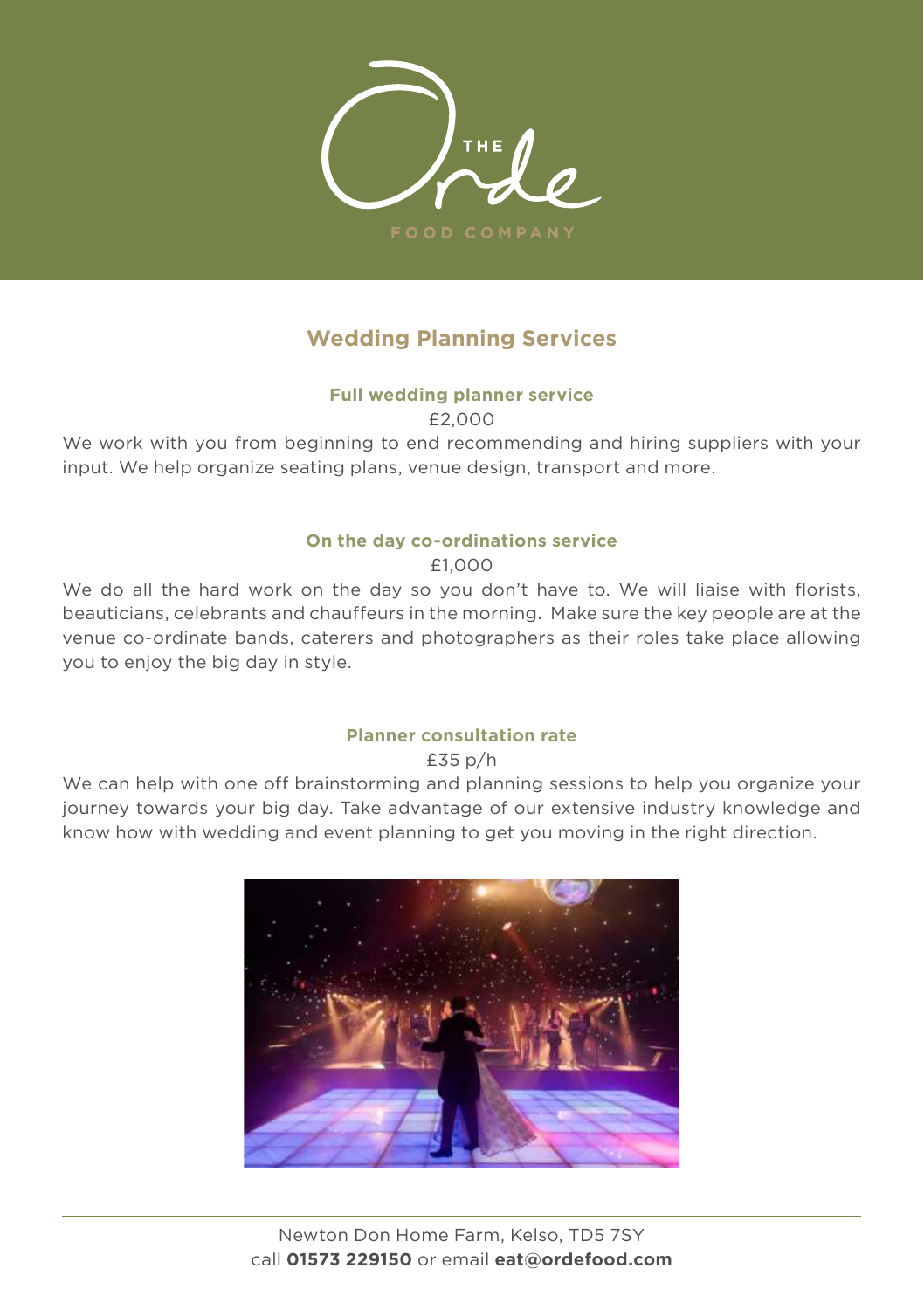

# **Wedding Planning Services**

# **Full wedding planner service**

£2,000

We work with you from beginning to end recommending and hiring suppliers with your input. We help organize seating plans, venue design, transport and more.

## **On the day co-ordinations service**

£1,000

We do all the hard work on the day so you don't have to. We will liaise with florists, beauticians, celebrants and chauffeurs in the morning. Make sure the key people are at the venue co-ordinate bands, caterers and photographers as their roles take place allowing you to enjoy the big day in style.

### **Planner consultation rate**

£35 p/h

We can help with one off brainstorming and planning sessions to help you organize your journey towards your big day. Take advantage of our extensive industry knowledge and know how with wedding and event planning to get you moving in the right direction.